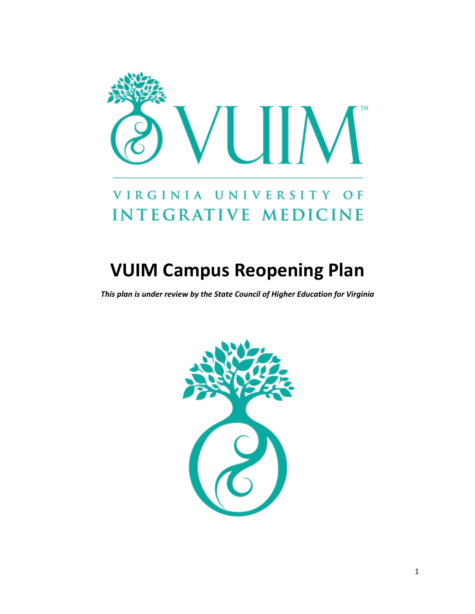

## VIRGINIA UNIVERSITY OF **INTEGRATIVE MEDICINE**

# **VUIM Campus Reopening Plan**

*This plan is under review by the State Council of Higher Education for Virginia*

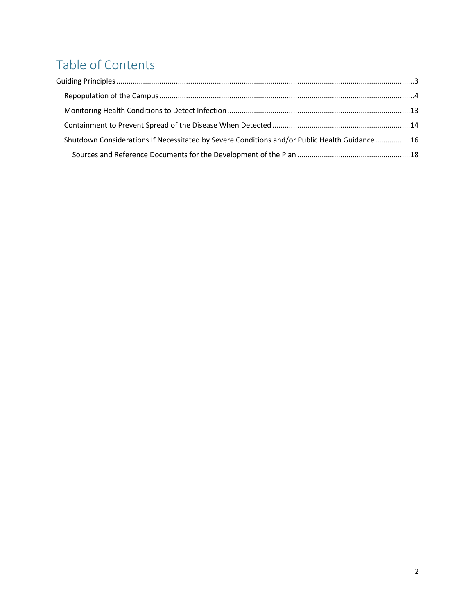## Table of Contents

| Shutdown Considerations If Necessitated by Severe Conditions and/or Public Health Guidance16 |  |
|----------------------------------------------------------------------------------------------|--|
|                                                                                              |  |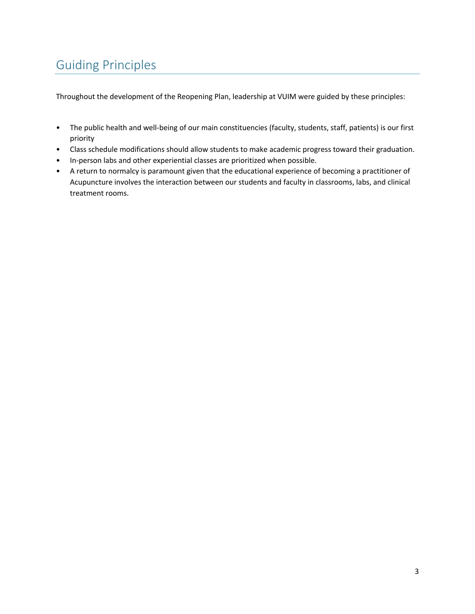## Guiding Principles

Throughout the development of the Reopening Plan, leadership at VUIM were guided by these principles:

- The public health and well-being of our main constituencies (faculty, students, staff, patients) is our first priority
- Class schedule modifications should allow students to make academic progress toward their graduation.
- In-person labs and other experiential classes are prioritized when possible.
- A return to normalcy is paramount given that the educational experience of becoming a practitioner of Acupuncture involves the interaction between our students and faculty in classrooms, labs, and clinical treatment rooms.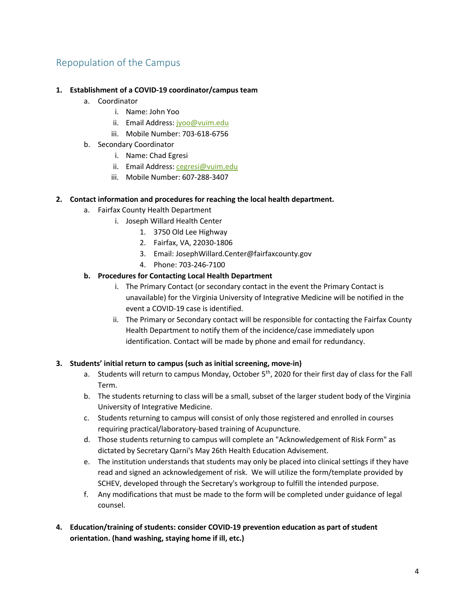### Repopulation of the Campus

#### **1. Establishment of a COVID-19 coordinator/campus team**

- a. Coordinator
	- i. Name: John Yoo
	- ii. Email Address: jyoo@vuim.edu
	- iii. Mobile Number: 703-618-6756
- b. Secondary Coordinator
	- i. Name: Chad Egresi
	- ii. Email Address: cegresi@vuim.edu
	- iii. Mobile Number: 607-288-3407

#### **2. Contact information and procedures for reaching the local health department.**

- a. Fairfax County Health Department
	- i. Joseph Willard Health Center
		- 1. 3750 Old Lee Highway
		- 2. Fairfax, VA, 22030-1806
		- 3. Email: JosephWillard.Center@fairfaxcounty.gov
		- 4. Phone: 703-246-7100

#### **b. Procedures for Contacting Local Health Department**

- i. The Primary Contact (or secondary contact in the event the Primary Contact is unavailable) for the Virginia University of Integrative Medicine will be notified in the event a COVID-19 case is identified.
- ii. The Primary or Secondary contact will be responsible for contacting the Fairfax County Health Department to notify them of the incidence/case immediately upon identification. Contact will be made by phone and email for redundancy.

#### **3. Students' initial return to campus (such as initial screening, move-in)**

- a. Students will return to campus Monday, October  $5<sup>th</sup>$ , 2020 for their first day of class for the Fall Term.
- b. The students returning to class will be a small, subset of the larger student body of the Virginia University of Integrative Medicine.
- c. Students returning to campus will consist of only those registered and enrolled in courses requiring practical/laboratory-based training of Acupuncture.
- d. Those students returning to campus will complete an "Acknowledgement of Risk Form" as dictated by Secretary Qarni's May 26th Health Education Advisement.
- e. The institution understands that students may only be placed into clinical settings if they have read and signed an acknowledgement of risk. We will utilize the form/template provided by SCHEV, developed through the Secretary's workgroup to fulfill the intended purpose.
- f. Any modifications that must be made to the form will be completed under guidance of legal counsel.
- **4. Education/training of students: consider COVID-19 prevention education as part of student orientation. (hand washing, staying home if ill, etc.)**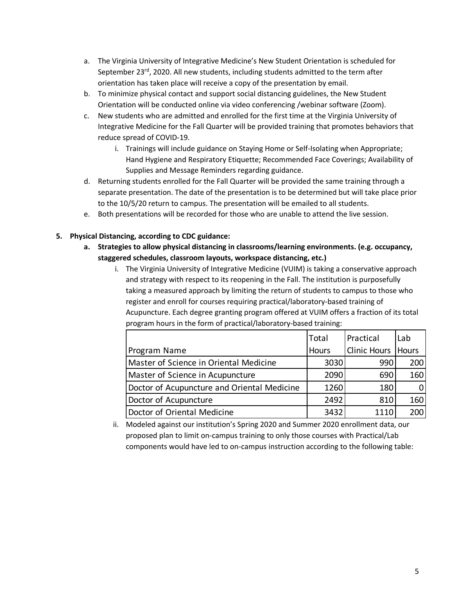- a. The Virginia University of Integrative Medicine's New Student Orientation is scheduled for September 23<sup>rd</sup>, 2020. All new students, including students admitted to the term after orientation has taken place will receive a copy of the presentation by email.
- b. To minimize physical contact and support social distancing guidelines, the New Student Orientation will be conducted online via video conferencing /webinar software (Zoom).
- c. New students who are admitted and enrolled for the first time at the Virginia University of Integrative Medicine for the Fall Quarter will be provided training that promotes behaviors that reduce spread of COVID-19.
	- i. Trainings will include guidance on Staying Home or Self-Isolating when Appropriate; Hand Hygiene and Respiratory Etiquette; Recommended Face Coverings; Availability of Supplies and Message Reminders regarding guidance.
- d. Returning students enrolled for the Fall Quarter will be provided the same training through a separate presentation. The date of the presentation is to be determined but will take place prior to the 10/5/20 return to campus. The presentation will be emailed to all students.
- e. Both presentations will be recorded for those who are unable to attend the live session.

#### **5. Physical Distancing, according to CDC guidance:**

- **a. Strategies to allow physical distancing in classrooms/learning environments. (e.g. occupancy, staggered schedules, classroom layouts, workspace distancing, etc.)**
	- i. The Virginia University of Integrative Medicine (VUIM) is taking a conservative approach and strategy with respect to its reopening in the Fall. The institution is purposefully taking a measured approach by limiting the return of students to campus to those who register and enroll for courses requiring practical/laboratory-based training of Acupuncture. Each degree granting program offered at VUIM offers a fraction of its total program hours in the form of practical/laboratory-based training:

|                                             | Total | Practical            | Lab      |
|---------------------------------------------|-------|----------------------|----------|
| Program Name                                | Hours | Clinic Hours   Hours |          |
| Master of Science in Oriental Medicine      | 3030  | 990                  | 200      |
| Master of Science in Acupuncture            | 2090  | 690                  | 160      |
| Doctor of Acupuncture and Oriental Medicine | 1260  | 180                  | $\Omega$ |
| Doctor of Acupuncture                       | 2492  | 810                  | 160      |
| Doctor of Oriental Medicine                 | 3432  | 1110                 | 200      |

ii. Modeled against our institution's Spring 2020 and Summer 2020 enrollment data, our proposed plan to limit on-campus training to only those courses with Practical/Lab components would have led to on-campus instruction according to the following table: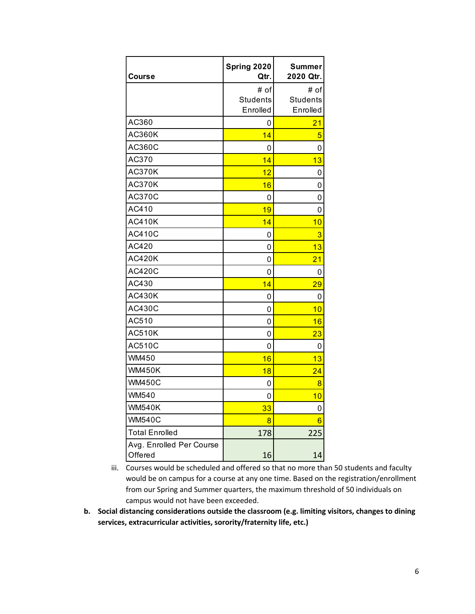| <b>Course</b>                       | Spring 2020<br>Qtr. | <b>Summer</b><br>2020 Qtr. |
|-------------------------------------|---------------------|----------------------------|
|                                     | # of                | # of                       |
|                                     | <b>Students</b>     | <b>Students</b>            |
|                                     | Enrolled            | Enrolled                   |
| AC360                               | 0                   | 21                         |
| AC360K                              | 14                  | 5                          |
| AC360C                              | 0                   | 0                          |
| AC370                               | 14                  | 13                         |
| <b>AC370K</b>                       | 12                  | 0                          |
| AC370K                              | 16                  | 0                          |
| <b>AC370C</b>                       | 0                   | 0                          |
| AC410                               | 19                  | 0                          |
| AC410K                              | 14                  | 10                         |
| <b>AC410C</b>                       | 0                   | 3                          |
| AC420                               | 0                   | 13                         |
| AC420K                              | 0                   | 21                         |
| <b>AC420C</b>                       | 0                   | 0                          |
| AC430                               | 14                  | 29                         |
| AC430K                              | 0                   | 0                          |
| <b>AC430C</b>                       | 0                   | 10                         |
| AC510                               | 0                   | 16                         |
| <b>AC510K</b>                       | 0                   | 23                         |
| <b>AC510C</b>                       | 0                   | 0                          |
| WM450                               | 16                  | 13                         |
| <b>WM450K</b>                       | 18                  | $\overline{24}$            |
| <b>WM450C</b>                       | 0                   | 8                          |
| <b>WM540</b>                        | 0                   | 10                         |
| <b>WM540K</b>                       | 33                  | 0                          |
| <b>WM540C</b>                       | 8                   | 6                          |
| <b>Total Enrolled</b>               | 178                 | 225                        |
| Avg. Enrolled Per Course<br>Offered | 16                  | 14                         |

- iii. Courses would be scheduled and offered so that no more than 50 students and faculty would be on campus for a course at any one time. Based on the registration/enrollment from our Spring and Summer quarters, the maximum threshold of 50 individuals on campus would not have been exceeded.
- **b. Social distancing considerations outside the classroom (e.g. limiting visitors, changes to dining services, extracurricular activities, sorority/fraternity life, etc.)**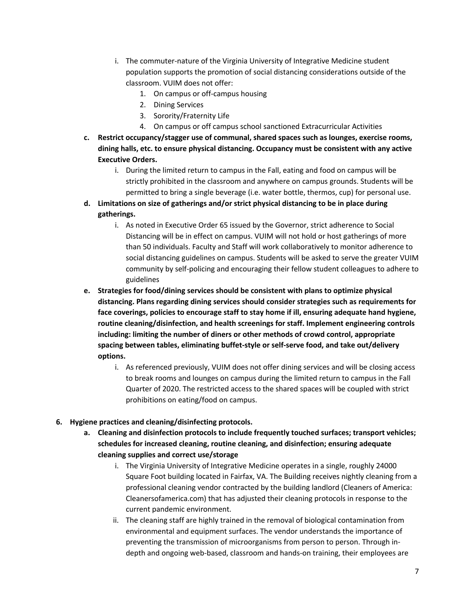- i. The commuter-nature of the Virginia University of Integrative Medicine student population supports the promotion of social distancing considerations outside of the classroom. VUIM does not offer:
	- 1. On campus or off-campus housing
	- 2. Dining Services
	- 3. Sorority/Fraternity Life
	- 4. On campus or off campus school sanctioned Extracurricular Activities
- **c. Restrict occupancy/stagger use of communal, shared spaces such as lounges, exercise rooms, dining halls, etc. to ensure physical distancing. Occupancy must be consistent with any active Executive Orders.**
	- i. During the limited return to campus in the Fall, eating and food on campus will be strictly prohibited in the classroom and anywhere on campus grounds. Students will be permitted to bring a single beverage (i.e. water bottle, thermos, cup) for personal use.
- **d. Limitations on size of gatherings and/or strict physical distancing to be in place during gatherings.**
	- i. As noted in Executive Order 65 issued by the Governor, strict adherence to Social Distancing will be in effect on campus. VUIM will not hold or host gatherings of more than 50 individuals. Faculty and Staff will work collaboratively to monitor adherence to social distancing guidelines on campus. Students will be asked to serve the greater VUIM community by self-policing and encouraging their fellow student colleagues to adhere to guidelines
- **e. Strategies for food/dining services should be consistent with plans to optimize physical distancing. Plans regarding dining services should consider strategies such as requirements for face coverings, policies to encourage staff to stay home if ill, ensuring adequate hand hygiene, routine cleaning/disinfection, and health screenings for staff. Implement engineering controls including: limiting the number of diners or other methods of crowd control, appropriate spacing between tables, eliminating buffet-style or self-serve food, and take out/delivery options.**
	- i. As referenced previously, VUIM does not offer dining services and will be closing access to break rooms and lounges on campus during the limited return to campus in the Fall Quarter of 2020. The restricted access to the shared spaces will be coupled with strict prohibitions on eating/food on campus.
- **6. Hygiene practices and cleaning/disinfecting protocols.**
	- **a. Cleaning and disinfection protocols to include frequently touched surfaces; transport vehicles; schedules for increased cleaning, routine cleaning, and disinfection; ensuring adequate cleaning supplies and correct use/storage**
		- i. The Virginia University of Integrative Medicine operates in a single, roughly 24000 Square Foot building located in Fairfax, VA. The Building receives nightly cleaning from a professional cleaning vendor contracted by the building landlord (Cleaners of America: Cleanersofamerica.com) that has adjusted their cleaning protocols in response to the current pandemic environment.
		- ii. The cleaning staff are highly trained in the removal of biological contamination from environmental and equipment surfaces. The vendor understands the importance of preventing the transmission of microorganisms from person to person. Through indepth and ongoing web-based, classroom and hands-on training, their employees are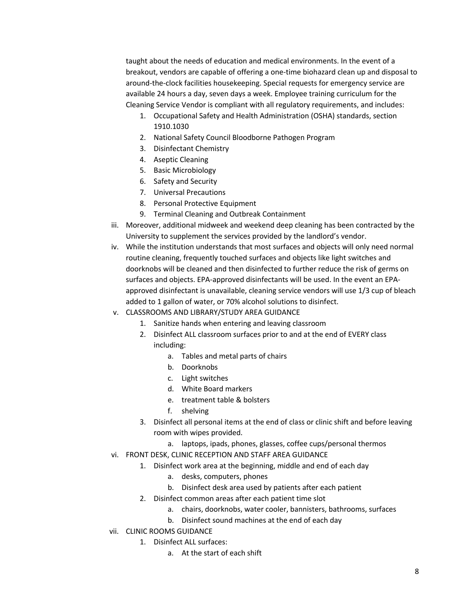taught about the needs of education and medical environments. In the event of a breakout, vendors are capable of offering a one-time biohazard clean up and disposal to around-the-clock facilities housekeeping. Special requests for emergency service are available 24 hours a day, seven days a week. Employee training curriculum for the Cleaning Service Vendor is compliant with all regulatory requirements, and includes:

- 1. Occupational Safety and Health Administration (OSHA) standards, section 1910.1030
- 2. National Safety Council Bloodborne Pathogen Program
- 3. Disinfectant Chemistry
- 4. Aseptic Cleaning
- 5. Basic Microbiology
- 6. Safety and Security
- 7. Universal Precautions
- 8. Personal Protective Equipment
- 9. Terminal Cleaning and Outbreak Containment
- iii. Moreover, additional midweek and weekend deep cleaning has been contracted by the University to supplement the services provided by the landlord's vendor.
- iv. While the institution understands that most surfaces and objects will only need normal routine cleaning, frequently touched surfaces and objects like light switches and doorknobs will be cleaned and then disinfected to further reduce the risk of germs on surfaces and objects. EPA-approved disinfectants will be used. In the event an EPAapproved disinfectant is unavailable, cleaning service vendors will use 1/3 cup of bleach added to 1 gallon of water, or 70% alcohol solutions to disinfect.
- v. CLASSROOMS AND LIBRARY/STUDY AREA GUIDANCE
	- 1. Sanitize hands when entering and leaving classroom
	- 2. Disinfect ALL classroom surfaces prior to and at the end of EVERY class including:
		- a. Tables and metal parts of chairs
		- b. Doorknobs
		- c. Light switches
		- d. White Board markers
		- e. treatment table & bolsters
		- f. shelving
	- 3. Disinfect all personal items at the end of class or clinic shift and before leaving room with wipes provided.
		- a. laptops, ipads, phones, glasses, coffee cups/personal thermos
- vi. FRONT DESK, CLINIC RECEPTION AND STAFF AREA GUIDANCE
	- 1. Disinfect work area at the beginning, middle and end of each day
		- a. desks, computers, phones
		- b. Disinfect desk area used by patients after each patient
	- 2. Disinfect common areas after each patient time slot
		- a. chairs, doorknobs, water cooler, bannisters, bathrooms, surfaces
		- b. Disinfect sound machines at the end of each day
- vii. CLINIC ROOMS GUIDANCE
	- 1. Disinfect ALL surfaces:
		- a. At the start of each shift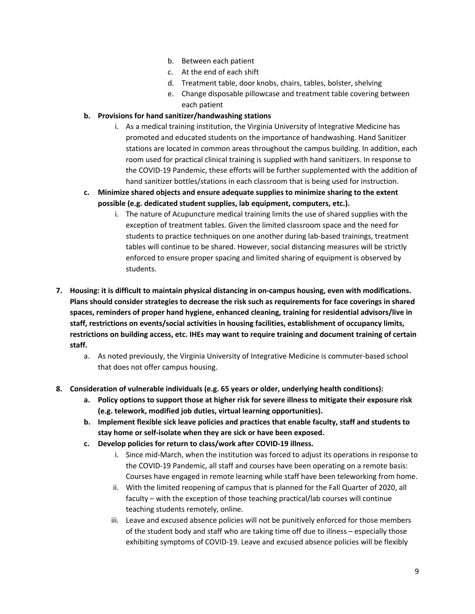- b. Between each patient
- c. At the end of each shift
- d. Treatment table, door knobs, chairs, tables, bolster, shelving
- e. Change disposable pillowcase and treatment table covering between each patient

#### **b. Provisions for hand sanitizer/handwashing stations**

- i. As a medical training institution, the Virginia University of Integrative Medicine has promoted and educated students on the importance of handwashing. Hand Sanitizer stations are located in common areas throughout the campus building. In addition, each room used for practical clinical training is supplied with hand sanitizers. In response to the COVID-19 Pandemic, these efforts will be further supplemented with the addition of hand sanitizer bottles/stations in each classroom that is being used for instruction.
- **c. Minimize shared objects and ensure adequate supplies to minimize sharing to the extent possible (e.g. dedicated student supplies, lab equipment, computers, etc.).**
	- i. The nature of Acupuncture medical training limits the use of shared supplies with the exception of treatment tables. Given the limited classroom space and the need for students to practice techniques on one another during lab-based trainings, treatment tables will continue to be shared. However, social distancing measures will be strictly enforced to ensure proper spacing and limited sharing of equipment is observed by students.
- **7. Housing: it is difficult to maintain physical distancing in on-campus housing, even with modifications. Plans should consider strategies to decrease the risk such as requirements for face coverings in shared spaces, reminders of proper hand hygiene, enhanced cleaning, training for residential advisors/live in staff, restrictions on events/social activities in housing facilities, establishment of occupancy limits, restrictions on building access, etc. IHEs may want to require training and document training of certain staff.**
	- a. As noted previously, the Virginia University of Integrative Medicine is commuter-based school that does not offer campus housing.
- **8. Consideration of vulnerable individuals (e.g. 65 years or older, underlying health conditions):**
	- **a. Policy options to support those at higher risk for severe illness to mitigate their exposure risk (e.g. telework, modified job duties, virtual learning opportunities).**
	- **b. Implement flexible sick leave policies and practices that enable faculty, staff and students to stay home or self-isolate when they are sick or have been exposed.**
	- **c. Develop policies for return to class/work after COVID-19 illness.**
		- i. Since mid-March, when the institution was forced to adjust its operations in response to the COVID-19 Pandemic, all staff and courses have been operating on a remote basis: Courses have engaged in remote learning while staff have been teleworking from home.
		- ii. With the limited reopening of campus that is planned for the Fall Quarter of 2020, all faculty – with the exception of those teaching practical/lab courses will continue teaching students remotely, online.
		- iii. Leave and excused absence policies will not be punitively enforced for those members of the student body and staff who are taking time off due to illness – especially those exhibiting symptoms of COVID-19. Leave and excused absence policies will be flexibly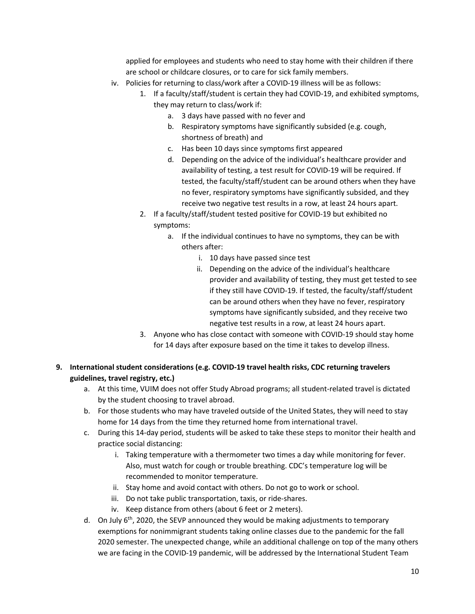applied for employees and students who need to stay home with their children if there are school or childcare closures, or to care for sick family members.

- iv. Policies for returning to class/work after a COVID-19 illness will be as follows:
	- 1. If a faculty/staff/student is certain they had COVID-19, and exhibited symptoms, they may return to class/work if:
		- a. 3 days have passed with no fever and
		- b. Respiratory symptoms have significantly subsided (e.g. cough, shortness of breath) and
		- c. Has been 10 days since symptoms first appeared
		- d. Depending on the advice of the individual's healthcare provider and availability of testing, a test result for COVID-19 will be required. If tested, the faculty/staff/student can be around others when they have no fever, respiratory symptoms have significantly subsided, and they receive two negative test results in a row, at least 24 hours apart.
	- 2. If a faculty/staff/student tested positive for COVID-19 but exhibited no symptoms:
		- a. If the individual continues to have no symptoms, they can be with others after:
			- i. 10 days have passed since test
			- ii. Depending on the advice of the individual's healthcare provider and availability of testing, they must get tested to see if they still have COVID-19. If tested, the faculty/staff/student can be around others when they have no fever, respiratory symptoms have significantly subsided, and they receive two negative test results in a row, at least 24 hours apart.
	- 3. Anyone who has close contact with someone with COVID-19 should stay home for 14 days after exposure based on the time it takes to develop illness.
- **9. International student considerations (e.g. COVID-19 travel health risks, CDC returning travelers guidelines, travel registry, etc.)**
	- a. At this time, VUIM does not offer Study Abroad programs; all student-related travel is dictated by the student choosing to travel abroad.
	- b. For those students who may have traveled outside of the United States, they will need to stay home for 14 days from the time they returned home from international travel.
	- c. During this 14-day period, students will be asked to take these steps to monitor their health and practice social distancing:
		- i. Taking temperature with a thermometer two times a day while monitoring for fever. Also, must watch for cough or trouble breathing. CDC's temperature log will be recommended to monitor temperature.
		- ii. Stay home and avoid contact with others. Do not go to work or school.
		- iii. Do not take public transportation, taxis, or ride-shares.
		- iv. Keep distance from others (about 6 feet or 2 meters).
	- d. On July  $6<sup>th</sup>$ , 2020, the SEVP announced they would be making adjustments to temporary exemptions for nonimmigrant students taking online classes due to the pandemic for the fall 2020 semester. The unexpected change, while an additional challenge on top of the many others we are facing in the COVID-19 pandemic, will be addressed by the International Student Team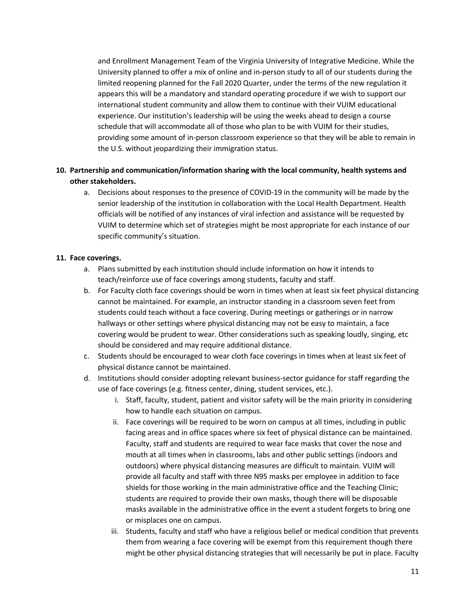and Enrollment Management Team of the Virginia University of Integrative Medicine. While the University planned to offer a mix of online and in-person study to all of our students during the limited reopening planned for the Fall 2020 Quarter, under the terms of the new regulation it appears this will be a mandatory and standard operating procedure if we wish to support our international student community and allow them to continue with their VUIM educational experience. Our institution's leadership will be using the weeks ahead to design a course schedule that will accommodate all of those who plan to be with VUIM for their studies, providing some amount of in-person classroom experience so that they will be able to remain in the U.S. without jeopardizing their immigration status.

#### **10. Partnership and communication/information sharing with the local community, health systems and other stakeholders.**

a. Decisions about responses to the presence of COVID-19 in the community will be made by the senior leadership of the institution in collaboration with the Local Health Department. Health officials will be notified of any instances of viral infection and assistance will be requested by VUIM to determine which set of strategies might be most appropriate for each instance of our specific community's situation.

#### **11. Face coverings.**

- a. Plans submitted by each institution should include information on how it intends to teach/reinforce use of face coverings among students, faculty and staff.
- b. For Faculty cloth face coverings should be worn in times when at least six feet physical distancing cannot be maintained. For example, an instructor standing in a classroom seven feet from students could teach without a face covering. During meetings or gatherings or in narrow hallways or other settings where physical distancing may not be easy to maintain, a face covering would be prudent to wear. Other considerations such as speaking loudly, singing, etc should be considered and may require additional distance.
- c. Students should be encouraged to wear cloth face coverings in times when at least six feet of physical distance cannot be maintained.
- d. Institutions should consider adopting relevant business-sector guidance for staff regarding the use of face coverings (e.g. fitness center, dining, student services, etc.).
	- i. Staff, faculty, student, patient and visitor safety will be the main priority in considering how to handle each situation on campus.
	- ii. Face coverings will be required to be worn on campus at all times, including in public facing areas and in office spaces where six feet of physical distance can be maintained. Faculty, staff and students are required to wear face masks that cover the nose and mouth at all times when in classrooms, labs and other public settings (indoors and outdoors) where physical distancing measures are difficult to maintain. VUIM will provide all faculty and staff with three N95 masks per employee in addition to face shields for those working in the main administrative office and the Teaching Clinic; students are required to provide their own masks, though there will be disposable masks available in the administrative office in the event a student forgets to bring one or misplaces one on campus.
	- iii. Students, faculty and staff who have a religious belief or medical condition that prevents them from wearing a face covering will be exempt from this requirement though there might be other physical distancing strategies that will necessarily be put in place. Faculty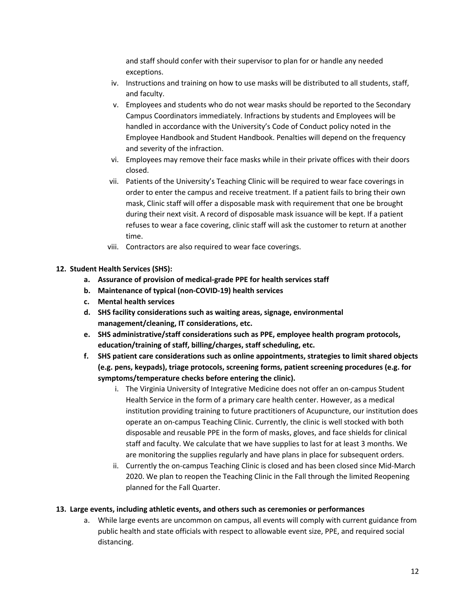and staff should confer with their supervisor to plan for or handle any needed exceptions.

- iv. Instructions and training on how to use masks will be distributed to all students, staff, and faculty.
- v. Employees and students who do not wear masks should be reported to the Secondary Campus Coordinators immediately. Infractions by students and Employees will be handled in accordance with the University's Code of Conduct policy noted in the Employee Handbook and Student Handbook. Penalties will depend on the frequency and severity of the infraction.
- vi. Employees may remove their face masks while in their private offices with their doors closed.
- vii. Patients of the University's Teaching Clinic will be required to wear face coverings in order to enter the campus and receive treatment. If a patient fails to bring their own mask, Clinic staff will offer a disposable mask with requirement that one be brought during their next visit. A record of disposable mask issuance will be kept. If a patient refuses to wear a face covering, clinic staff will ask the customer to return at another time.
- viii. Contractors are also required to wear face coverings.
- **12. Student Health Services (SHS):**
	- **a. Assurance of provision of medical-grade PPE for health services staff**
	- **b. Maintenance of typical (non-COVID-19) health services**
	- **c. Mental health services**
	- **d. SHS facility considerations such as waiting areas, signage, environmental management/cleaning, IT considerations, etc.**
	- **e. SHS administrative/staff considerations such as PPE, employee health program protocols, education/training of staff, billing/charges, staff scheduling, etc.**
	- **f. SHS patient care considerations such as online appointments, strategies to limit shared objects (e.g. pens, keypads), triage protocols, screening forms, patient screening procedures (e.g. for symptoms/temperature checks before entering the clinic).**
		- i. The Virginia University of Integrative Medicine does not offer an on-campus Student Health Service in the form of a primary care health center. However, as a medical institution providing training to future practitioners of Acupuncture, our institution does operate an on-campus Teaching Clinic. Currently, the clinic is well stocked with both disposable and reusable PPE in the form of masks, gloves, and face shields for clinical staff and faculty. We calculate that we have supplies to last for at least 3 months. We are monitoring the supplies regularly and have plans in place for subsequent orders.
		- ii. Currently the on-campus Teaching Clinic is closed and has been closed since Mid-March 2020. We plan to reopen the Teaching Clinic in the Fall through the limited Reopening planned for the Fall Quarter.

#### **13. Large events, including athletic events, and others such as ceremonies or performances**

a. While large events are uncommon on campus, all events will comply with current guidance from public health and state officials with respect to allowable event size, PPE, and required social distancing.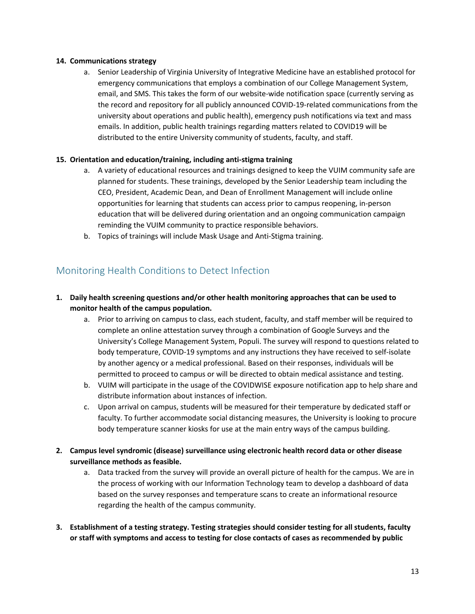#### **14. Communications strategy**

a. Senior Leadership of Virginia University of Integrative Medicine have an established protocol for emergency communications that employs a combination of our College Management System, email, and SMS. This takes the form of our website-wide notification space (currently serving as the record and repository for all publicly announced COVID-19-related communications from the university about operations and public health), emergency push notifications via text and mass emails. In addition, public health trainings regarding matters related to COVID19 will be distributed to the entire University community of students, faculty, and staff.

#### **15. Orientation and education/training, including anti-stigma training**

- a. A variety of educational resources and trainings designed to keep the VUIM community safe are planned for students. These trainings, developed by the Senior Leadership team including the CEO, President, Academic Dean, and Dean of Enrollment Management will include online opportunities for learning that students can access prior to campus reopening, in-person education that will be delivered during orientation and an ongoing communication campaign reminding the VUIM community to practice responsible behaviors.
- b. Topics of trainings will include Mask Usage and Anti-Stigma training.

### Monitoring Health Conditions to Detect Infection

#### **1. Daily health screening questions and/or other health monitoring approaches that can be used to monitor health of the campus population.**

- a. Prior to arriving on campus to class, each student, faculty, and staff member will be required to complete an online attestation survey through a combination of Google Surveys and the University's College Management System, Populi. The survey will respond to questions related to body temperature, COVID-19 symptoms and any instructions they have received to self-isolate by another agency or a medical professional. Based on their responses, individuals will be permitted to proceed to campus or will be directed to obtain medical assistance and testing.
- b. VUIM will participate in the usage of the COVIDWISE exposure notification app to help share and distribute information about instances of infection.
- c. Upon arrival on campus, students will be measured for their temperature by dedicated staff or faculty. To further accommodate social distancing measures, the University is looking to procure body temperature scanner kiosks for use at the main entry ways of the campus building.
- **2. Campus level syndromic (disease) surveillance using electronic health record data or other disease surveillance methods as feasible.**
	- a. Data tracked from the survey will provide an overall picture of health for the campus. We are in the process of working with our Information Technology team to develop a dashboard of data based on the survey responses and temperature scans to create an informational resource regarding the health of the campus community.
- **3. Establishment of a testing strategy. Testing strategies should consider testing for all students, faculty or staff with symptoms and access to testing for close contacts of cases as recommended by public**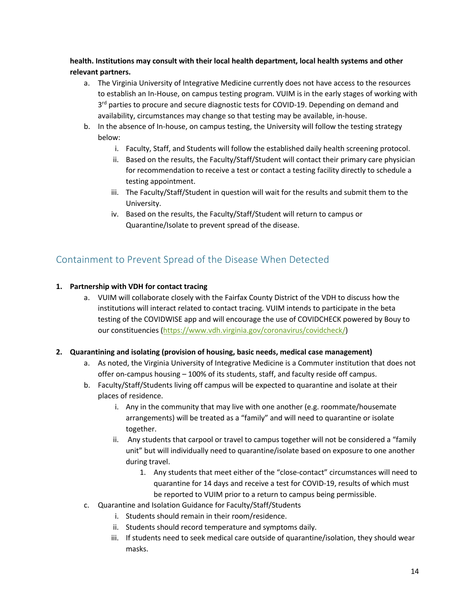**health. Institutions may consult with their local health department, local health systems and other relevant partners.**

- a. The Virginia University of Integrative Medicine currently does not have access to the resources to establish an In-House, on campus testing program. VUIM is in the early stages of working with  $3<sup>rd</sup>$  parties to procure and secure diagnostic tests for COVID-19. Depending on demand and availability, circumstances may change so that testing may be available, in-house.
- b. In the absence of In-house, on campus testing, the University will follow the testing strategy below:
	- i. Faculty, Staff, and Students will follow the established daily health screening protocol.
	- ii. Based on the results, the Faculty/Staff/Student will contact their primary care physician for recommendation to receive a test or contact a testing facility directly to schedule a testing appointment.
	- iii. The Faculty/Staff/Student in question will wait for the results and submit them to the University.
	- iv. Based on the results, the Faculty/Staff/Student will return to campus or Quarantine/Isolate to prevent spread of the disease.

### Containment to Prevent Spread of the Disease When Detected

#### **1. Partnership with VDH for contact tracing**

a. VUIM will collaborate closely with the Fairfax County District of the VDH to discuss how the institutions will interact related to contact tracing. VUIM intends to participate in the beta testing of the COVIDWISE app and will encourage the use of COVIDCHECK powered by Bouy to our constituencies (https://www.vdh.virginia.gov/coronavirus/covidcheck/)

#### **2. Quarantining and isolating (provision of housing, basic needs, medical case management)**

- a. As noted, the Virginia University of Integrative Medicine is a Commuter institution that does not offer on-campus housing – 100% of its students, staff, and faculty reside off campus.
- b. Faculty/Staff/Students living off campus will be expected to quarantine and isolate at their places of residence.
	- i. Any in the community that may live with one another (e.g. roommate/housemate arrangements) will be treated as a "family" and will need to quarantine or isolate together.
	- ii. Any students that carpool or travel to campus together will not be considered a "family unit" but will individually need to quarantine/isolate based on exposure to one another during travel.
		- 1. Any students that meet either of the "close-contact" circumstances will need to quarantine for 14 days and receive a test for COVID-19, results of which must be reported to VUIM prior to a return to campus being permissible.
- c. Quarantine and Isolation Guidance for Faculty/Staff/Students
	- i. Students should remain in their room/residence.
	- ii. Students should record temperature and symptoms daily.
	- iii. If students need to seek medical care outside of quarantine/isolation, they should wear masks.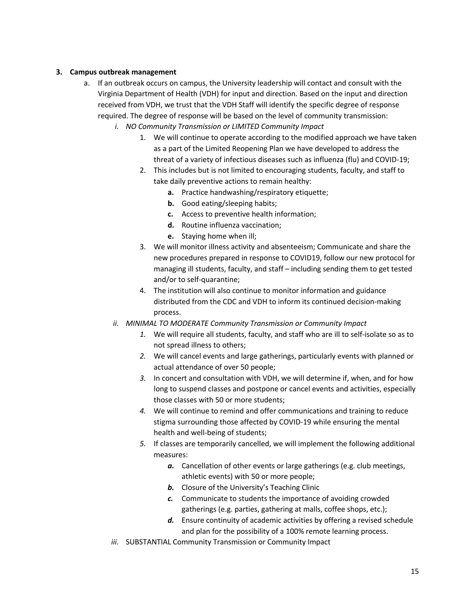#### **3. Campus outbreak management**

- a. If an outbreak occurs on campus, the University leadership will contact and consult with the Virginia Department of Health (VDH) for input and direction. Based on the input and direction received from VDH, we trust that the VDH Staff will identify the specific degree of response required. The degree of response will be based on the level of community transmission:
	- *i. NO Community Transmission or LIMITED Community Impact* 
		- 1. We will continue to operate according to the modified approach we have taken as a part of the Limited Reopening Plan we have developed to address the threat of a variety of infectious diseases such as influenza (flu) and COVID-19;
		- 2. This includes but is not limited to encouraging students, faculty, and staff to take daily preventive actions to remain healthy:
			- **a.** Practice handwashing/respiratory etiquette;
			- **b.** Good eating/sleeping habits;
			- **c.** Access to preventive health information;
			- **d.** Routine influenza vaccination;
			- **e.** Staying home when ill;
		- 3. We will monitor illness activity and absenteeism; Communicate and share the new procedures prepared in response to COVID19, follow our new protocol for managing ill students, faculty, and staff – including sending them to get tested and/or to self-quarantine;
		- 4. The institution will also continue to monitor information and guidance distributed from the CDC and VDH to inform its continued decision-making process.
	- *ii. MINIMAL TO MODERATE Community Transmission or Community Impact*
		- *1.* We will require all students, faculty, and staff who are ill to self-isolate so as to not spread illness to others;
		- *2.* We will cancel events and large gatherings, particularly events with planned or actual attendance of over 50 people;
		- *3.* In concert and consultation with VDH, we will determine if, when, and for how long to suspend classes and postpone or cancel events and activities, especially those classes with 50 or more students;
		- *4.* We will continue to remind and offer communications and training to reduce stigma surrounding those affected by COVID-19 while ensuring the mental health and well-being of students;
		- *5.* If classes are temporarily cancelled, we will implement the following additional measures:
			- *a.* Cancellation of other events or large gatherings (e.g. club meetings, athletic events) with 50 or more people;
			- **b.** Closure of the University's Teaching Clinic
			- *c.* Communicate to students the importance of avoiding crowded gatherings (e.g. parties, gathering at malls, coffee shops, etc.);
			- *d.* Ensure continuity of academic activities by offering a revised schedule and plan for the possibility of a 100% remote learning process.
	- *iii.* SUBSTANTIAL Community Transmission or Community Impact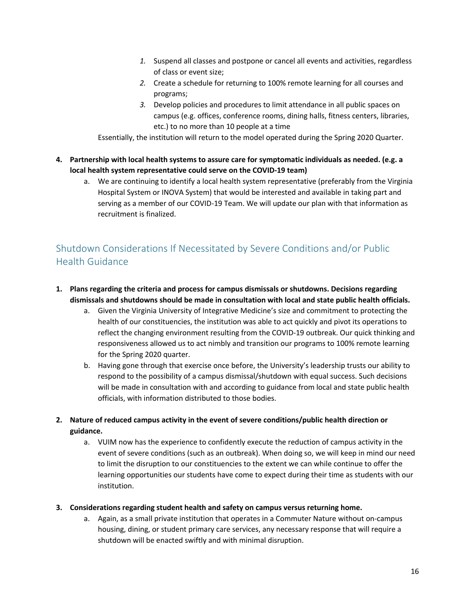- *1.* Suspend all classes and postpone or cancel all events and activities, regardless of class or event size;
- *2.* Create a schedule for returning to 100% remote learning for all courses and programs;
- *3.* Develop policies and procedures to limit attendance in all public spaces on campus (e.g. offices, conference rooms, dining halls, fitness centers, libraries, etc.) to no more than 10 people at a time

Essentially, the institution will return to the model operated during the Spring 2020 Quarter.

- **4. Partnership with local health systems to assure care for symptomatic individuals as needed. (e.g. a local health system representative could serve on the COVID-19 team)**
	- a. We are continuing to identify a local health system representative (preferably from the Virginia Hospital System or INOVA System) that would be interested and available in taking part and serving as a member of our COVID-19 Team. We will update our plan with that information as recruitment is finalized.

## Shutdown Considerations If Necessitated by Severe Conditions and/or Public Health Guidance

- **1. Plans regarding the criteria and process for campus dismissals or shutdowns. Decisions regarding dismissals and shutdowns should be made in consultation with local and state public health officials.**
	- a. Given the Virginia University of Integrative Medicine's size and commitment to protecting the health of our constituencies, the institution was able to act quickly and pivot its operations to reflect the changing environment resulting from the COVID-19 outbreak. Our quick thinking and responsiveness allowed us to act nimbly and transition our programs to 100% remote learning for the Spring 2020 quarter.
	- b. Having gone through that exercise once before, the University's leadership trusts our ability to respond to the possibility of a campus dismissal/shutdown with equal success. Such decisions will be made in consultation with and according to guidance from local and state public health officials, with information distributed to those bodies.
- **2. Nature of reduced campus activity in the event of severe conditions/public health direction or guidance.**
	- a. VUIM now has the experience to confidently execute the reduction of campus activity in the event of severe conditions (such as an outbreak). When doing so, we will keep in mind our need to limit the disruption to our constituencies to the extent we can while continue to offer the learning opportunities our students have come to expect during their time as students with our institution.
- **3. Considerations regarding student health and safety on campus versus returning home.**
	- a. Again, as a small private institution that operates in a Commuter Nature without on-campus housing, dining, or student primary care services, any necessary response that will require a shutdown will be enacted swiftly and with minimal disruption.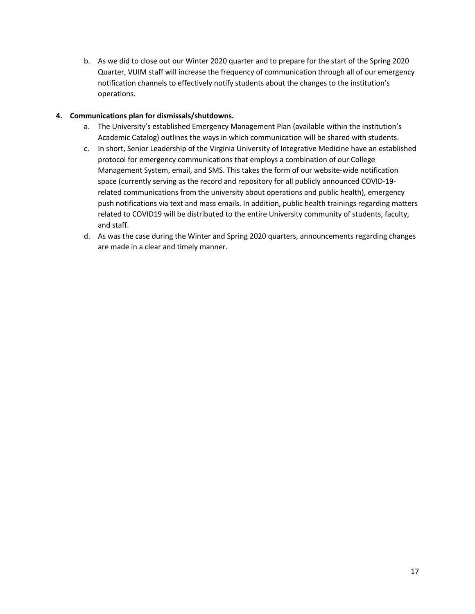b. As we did to close out our Winter 2020 quarter and to prepare for the start of the Spring 2020 Quarter, VUIM staff will increase the frequency of communication through all of our emergency notification channels to effectively notify students about the changes to the institution's operations.

#### **4. Communications plan for dismissals/shutdowns.**

- a. The University's established Emergency Management Plan (available within the institution's Academic Catalog) outlines the ways in which communication will be shared with students.
- c. In short, Senior Leadership of the Virginia University of Integrative Medicine have an established protocol for emergency communications that employs a combination of our College Management System, email, and SMS. This takes the form of our website-wide notification space (currently serving as the record and repository for all publicly announced COVID-19 related communications from the university about operations and public health), emergency push notifications via text and mass emails. In addition, public health trainings regarding matters related to COVID19 will be distributed to the entire University community of students, faculty, and staff.
- d. As was the case during the Winter and Spring 2020 quarters, announcements regarding changes are made in a clear and timely manner.